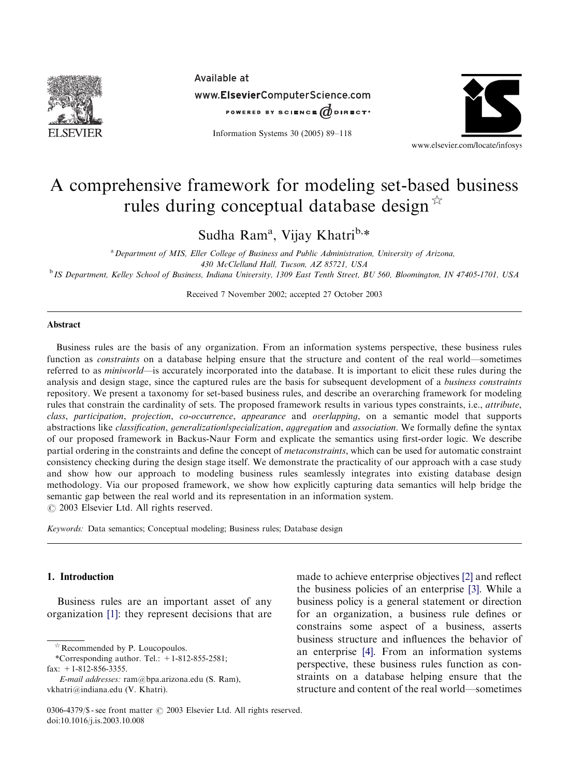

Available at www.ElsevierComputerScience.com POWERED BY SCIENCE @DIRECT\*

Information Systems 30 (2005) 89–118



## A comprehensive framework for modeling set-based business rules during conceptual database design  $\overrightarrow{x}$

Sudha Ram<sup>a</sup>, Vijay Khatri<sup>b,</sup>\*

<sup>a</sup> Department of MIS, Eller College of Business and Public Administration, University of Arizona, 430 McClelland Hall, Tucson, AZ 85721, USA <sup>b</sup> IS Department, Kelley School of Business, Indiana University, 1309 East Tenth Street, BU 560, Bloomington, IN 47405-1701, USA

Received 7 November 2002; accepted 27 October 2003

## Abstract

Business rules are the basis of any organization. From an information systems perspective, these business rules function as constraints on a database helping ensure that the structure and content of the real world—sometimes referred to as *miniworld*—is accurately incorporated into the database. It is important to elicit these rules during the analysis and design stage, since the captured rules are the basis for subsequent development of a business constraints repository. We present a taxonomy for set-based business rules, and describe an overarching framework for modeling rules that constrain the cardinality of sets. The proposed framework results in various types constraints, i.e., attribute, class, participation, projection, co-occurrence, appearance and overlapping, on a semantic model that supports abstractions like classification, generalization/specialization, aggregation and association. We formally define the syntax of our proposed framework in Backus-Naur Form and explicate the semantics using first-order logic. We describe partial ordering in the constraints and define the concept of *metaconstraints*, which can be used for automatic constraint consistency checking during the design stage itself. We demonstrate the practicality of our approach with a case study and show how our approach to modeling business rules seamlessly integrates into existing database design methodology. Via our proposed framework, we show how explicitly capturing data semantics will help bridge the semantic gap between the realworld and its representation in an information system.  $\odot$  2003 Elsevier Ltd. All rights reserved.

Keywords: Data semantics; Conceptual modeling; Business rules; Database design

## 1. Introduction

Business rules are an important asset of any organization [\[1\]:](#page--1-0) they represent decisions that are

made to achieve enterprise objectives [\[2\]](#page--1-0) and reflect the business policies of an enterprise [\[3\]](#page--1-0). While a business policy is a general statement or direction for an organization, a business rule defines or constrains some aspect of a business, asserts business structure and influences the behavior of an enterprise [\[4\].](#page--1-0) From an information systems perspective, these business rules function as constraints on a database helping ensure that the structure and content of the realworld—sometimes

 $\triangle$  Recommended by P. Loucopoulos.

<sup>\*</sup>Corresponding author. Tel.:  $+1-812-855-2581$ ;

fax: +1-812-856-3355.

E-mail addresses: ram@bpa.arizona.edu (S. Ram), vkhatri@indiana.edu (V. Khatri).

<sup>0306-4379/\$ -</sup> see front matter  $\odot$  2003 Elsevier Ltd. All rights reserved. doi:10.1016/j.is.2003.10.008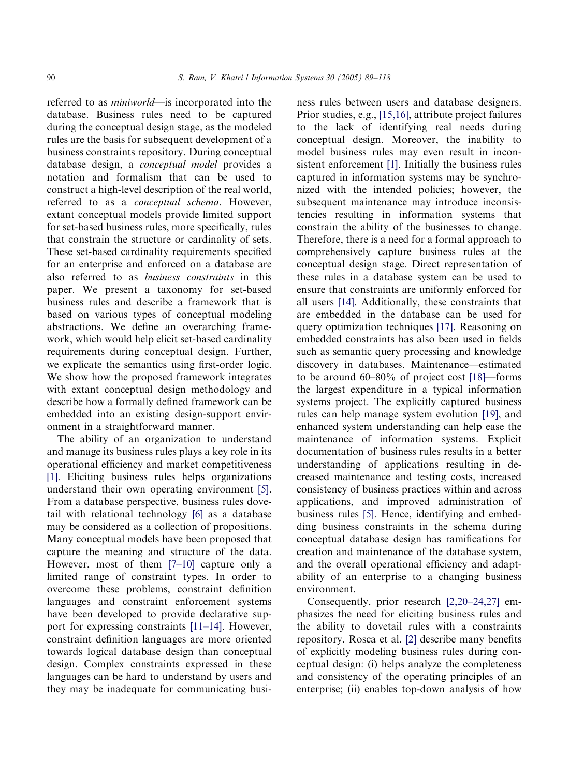referred to as miniworld—is incorporated into the database. Business rules need to be captured during the conceptual design stage, as the modeled rules are the basis for subsequent development of a business constraints repository. During conceptual database design, a conceptual model provides a notation and formalism that can be used to construct a high-level description of the real world, referred to as a conceptual schema. However, extant conceptual models provide limited support for set-based business rules, more specifically, rules that constrain the structure or cardinality of sets. These set-based cardinality requirements specified for an enterprise and enforced on a database are also referred to as business constraints in this paper. We present a taxonomy for set-based business rules and describe a framework that is based on various types of conceptual modeling abstractions. We define an overarching framework, which would help elicit set-based cardinality requirements during conceptual design. Further, we explicate the semantics using first-order logic. We show how the proposed framework integrates with extant conceptual design methodology and describe how a formally defined framework can be embedded into an existing design-support environment in a straightforward manner.

The ability of an organization to understand and manage its business rules plays a key role in its operational efficiency and market competitiveness [\[1\]](#page--1-0). Eliciting business rules helps organizations understand their own operating environment [\[5\]](#page--1-0). From a database perspective, business rules dove-tail with relational technology [\[6\]](#page--1-0) as a database may be considered as a collection of propositions. Many conceptual models have been proposed that capture the meaning and structure of the data. However, most of them [\[7–10\]](#page--1-0) capture only a limited range of constraint types. In order to overcome these problems, constraint definition languages and constraint enforcement systems have been developed to provide declarative support for expressing constraints [\[11–14\]](#page--1-0). However, constraint definition languages are more oriented towards logical database design than conceptual design. Complex constraints expressed in these languages can be hard to understand by users and they may be inadequate for communicating business rules between users and database designers. Prior studies, e.g., [\[15,16\],](#page--1-0) attribute project failures to the lack of identifying real needs during conceptual design. Moreover, the inability to model business rules may even result in inconsistent enforcement [\[1\].](#page--1-0) Initially the business rules captured in information systems may be synchronized with the intended policies; however, the subsequent maintenance may introduce inconsistencies resulting in information systems that constrain the ability of the businesses to change. Therefore, there is a need for a formal approach to comprehensively capture business rules at the conceptual design stage. Direct representation of these rules in a database system can be used to ensure that constraints are uniformly enforced for all users [\[14\].](#page--1-0) Additionally, these constraints that are embedded in the database can be used for query optimization techniques [\[17\]](#page--1-0). Reasoning on embedded constraints has also been used in fields such as semantic query processing and knowledge discovery in databases. Maintenance—estimated to be around 60–80% of project cost [\[18\]](#page--1-0)—forms the largest expenditure in a typical information systems project. The explicitly captured business rules can help manage system evolution [\[19\],](#page--1-0) and enhanced system understanding can help ease the maintenance of information systems. Explicit documentation of business rules results in a better understanding of applications resulting in decreased maintenance and testing costs, increased consistency of business practices within and across applications, and improved administration of business rules [\[5\].](#page--1-0) Hence, identifying and embedding business constraints in the schema during conceptual database design has ramifications for creation and maintenance of the database system, and the overall operational efficiency and adaptability of an enterprise to a changing business environment.

Consequently, prior research [\[2,20–24,27\]](#page--1-0) emphasizes the need for eliciting business rules and the ability to dovetail rules with a constraints repository. Rosca et al. [\[2\]](#page--1-0) describe many benefits of explicitly modeling business rules during conceptual design: (i) helps analyze the completeness and consistency of the operating principles of an enterprise; (ii) enables top-down analysis of how